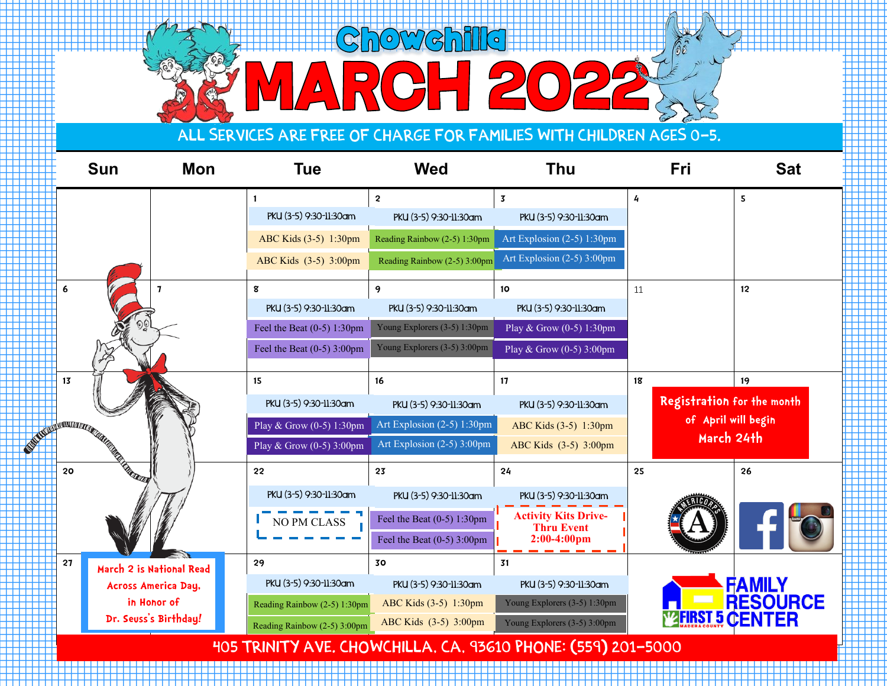## **Chowchills ESPERANTARIA (** <u> 122222222</u> RCH 2

. . . . . . . . . . . . . .

T T T T T . . . . . . . . . . . .

444

**HILL BE TELETIN THE REAL** . . . . . . . . . . . .

THE TE 77777

<u>Time and</u> <u>TILL I TIL</u> ,,,,,, . . . . . . <u>TIME TIME T</u>

mana any <u>Time and</u> TTTTTTT . . . . . . . . . .

\_\_\_

. . . . .

. . . . . . . . . .

. . . . . . . . . . . . .

. . . .

1 - 1 - 1 - 1 - 1 - 1 -

## All services are free of charge for families with children ages 0-5.

|    | <b>Sun</b>                                                                                                 | <b>Mon</b>                 | <b>Tue</b>                   | <b>Wed</b>                   |                                                                  | <b>Thu</b>                                       | <b>Fri</b>                 | <b>Sat</b>                        |  |  |
|----|------------------------------------------------------------------------------------------------------------|----------------------------|------------------------------|------------------------------|------------------------------------------------------------------|--------------------------------------------------|----------------------------|-----------------------------------|--|--|
|    |                                                                                                            |                            | PKU (3-5) 9:30-11:30am       | $\overline{2}$               | $\overline{\mathbf{3}}$<br>PKU (3-5) 9:30-11:30am                | 4<br>PKU (3-5) 9:30-11:30am                      |                            | 5                                 |  |  |
|    |                                                                                                            |                            | ABC Kids (3-5) 1:30pm        | Reading Rainbow (2-5) 1:30pm |                                                                  | Art Explosion (2-5) 1:30pm                       |                            |                                   |  |  |
|    |                                                                                                            |                            | ABC Kids (3-5) 3:00pm        |                              | Reading Rainbow (2-5) 3:00pm                                     | Art Explosion (2-5) 3:00pm                       |                            |                                   |  |  |
| 6  |                                                                                                            | $\mathbf{7}$               | 8                            | 9                            | 10                                                               | 11                                               |                            | 12                                |  |  |
|    |                                                                                                            |                            | PKU (3-5) 9:30-11:30am       | PKU (3-5) 9:30-11:30am       |                                                                  | PKU (3-5) 9:30-11:30am                           |                            |                                   |  |  |
|    |                                                                                                            |                            | Feel the Beat $(0-5)$ 1:30pm |                              | Young Explorers (3-5) 1:30pm                                     | Play & Grow (0-5) 1:30pm                         |                            |                                   |  |  |
|    |                                                                                                            |                            | Feel the Beat $(0-5)$ 3:00pm | Young Explorers (3-5) 3:00pm |                                                                  | Play & Grow $(0-5)$ 3:00pm                       |                            |                                   |  |  |
| 13 |                                                                                                            |                            | 15                           | 16                           | 17                                                               | 18                                               |                            | 19                                |  |  |
|    |                                                                                                            |                            | PKU (3-5) 9:30-11:30am       |                              | PKU (3-5) 9:30-11:30am                                           | PKU (3-5) 9:30-11:30am                           | Registration for the month |                                   |  |  |
|    | <b>CONTINUES AND DESCRIPTION OF REAL PROPERTY OF REAL PROPERTY OF REAL PROPERTY OF REAL PROPERTY OF RE</b> |                            | Play & Grow (0-5) 1:30pm     |                              | Art Explosion (2-5) 1:30pm                                       | ABC Kids (3-5) 1:30pm                            |                            | of April will begin<br>March 24th |  |  |
|    |                                                                                                            |                            | Play & Grow (0-5) 3:00pm     |                              | Art Explosion (2-5) 3:00pm                                       | ABC Kids (3-5) 3:00pm                            |                            |                                   |  |  |
|    |                                                                                                            |                            | 22                           | 23                           | 24                                                               | 25                                               |                            | 26                                |  |  |
|    |                                                                                                            |                            | PKU (3-5) 9:30-11:30am       |                              | PKU (3-5) 9:30-11:30am                                           | PKU (3-5) 9:30-11:30am                           |                            |                                   |  |  |
|    |                                                                                                            |                            | NO PM CLASS                  | Feel the Beat $(0-5)$ 1:30pm |                                                                  | <b>Activity Kits Drive-</b><br><b>Thru Event</b> |                            |                                   |  |  |
|    |                                                                                                            |                            |                              | Feel the Beat $(0-5)$ 3:00pm |                                                                  | $2:00-4:00$ pm                                   |                            |                                   |  |  |
| 27 |                                                                                                            | March 2 is National Read   | 29                           | 30                           | 31                                                               |                                                  |                            |                                   |  |  |
|    |                                                                                                            | <b>Across America Day,</b> | PKU (3-5) 9:30-11:30am       |                              | PKU (3-5) 9:30-11:30am                                           | PKU (3-5) 9:30-11:30am                           |                            | <b>FAMILY<br/>RESOURCE</b>        |  |  |
|    | in Honor of                                                                                                |                            | Reading Rainbow (2-5) 1:30pm | ABC Kids (3-5) 1:30pm        |                                                                  | Young Explorers (3-5) 1:30pm                     |                            |                                   |  |  |
|    |                                                                                                            | Dr. Seuss's Birthday!      | Reading Rainbow (2-5) 3:00pm | ABC Kids (3-5) 3:00pm        |                                                                  | Young Explorers (3-5) 3:00pm                     | <b>WERST 5 CENTER</b>      |                                   |  |  |
|    |                                                                                                            |                            |                              |                              | $\mu$ or Toility ave Chaliculta Ca. 07/40 Dhaifi (FEO) 804, FOOO |                                                  |                            |                                   |  |  |

405 Trinity Ave. Chowchilla, CA, 93610 Phone: (559) 201-5000